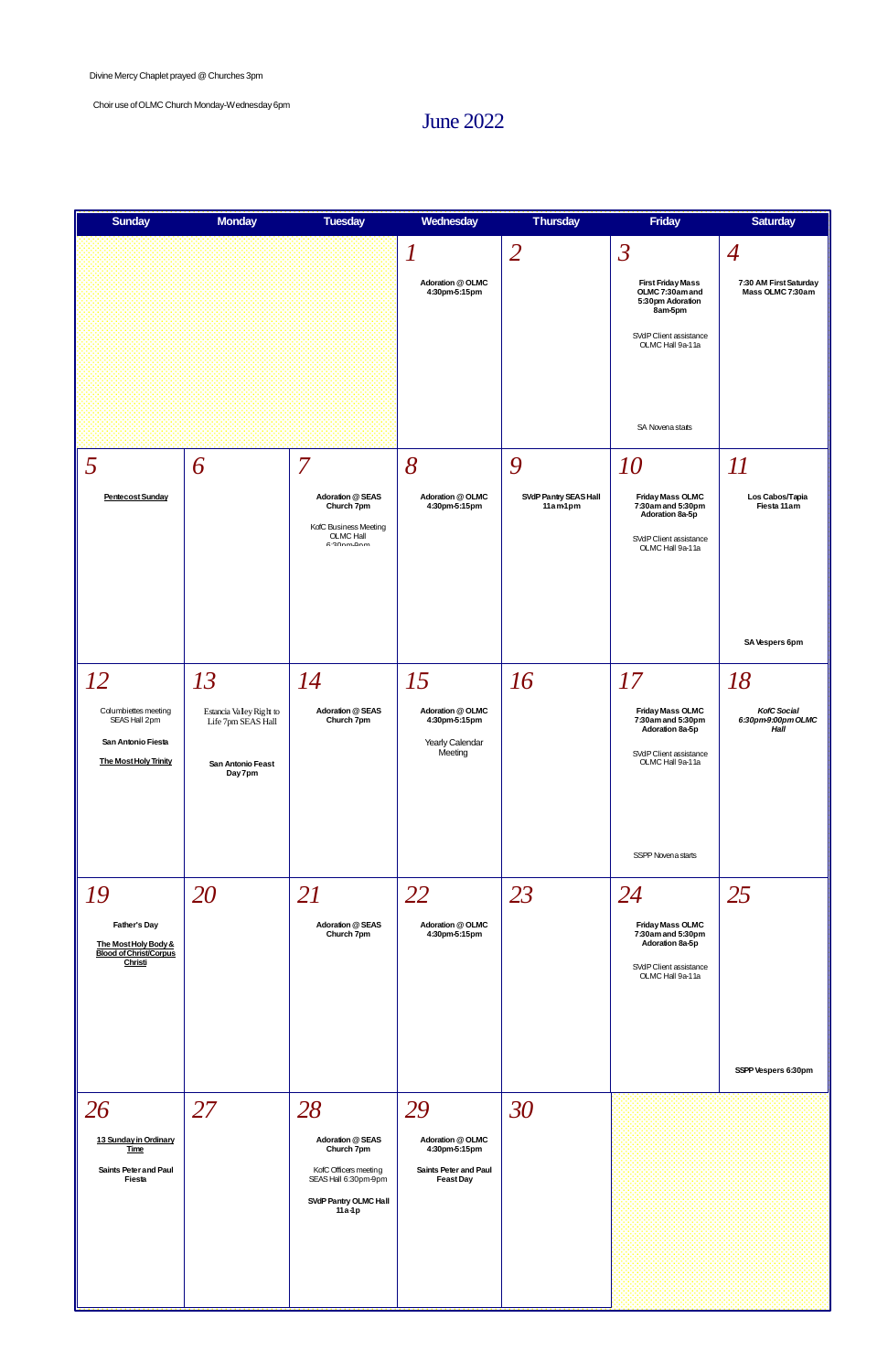## June 2022

| <b>Sunday</b>                                                                               | <b>Monday</b>                                                                  | <b>Tuesday</b>                                                                    | Wednesday                                                       | <b>Thursday</b>                  | <b>Friday</b>                                                                                                       | <b>Saturday</b>                            |
|---------------------------------------------------------------------------------------------|--------------------------------------------------------------------------------|-----------------------------------------------------------------------------------|-----------------------------------------------------------------|----------------------------------|---------------------------------------------------------------------------------------------------------------------|--------------------------------------------|
|                                                                                             |                                                                                |                                                                                   |                                                                 | $\overline{2}$                   | $\overline{\mathcal{S}}$                                                                                            | $\overline{4}$                             |
|                                                                                             |                                                                                |                                                                                   | Adoration @ OLMC<br>4:30pm-5:15pm                               |                                  | <b>First Friday Mass</b><br>OLMC 7:30am and<br>5:30pm Adoration<br>8am-5pm                                          | 7:30 AM First Saturday<br>Mass OLMC 7:30am |
|                                                                                             |                                                                                |                                                                                   |                                                                 |                                  | SVdP Client assistance<br>OLMC Hall 9a-11a                                                                          |                                            |
|                                                                                             |                                                                                |                                                                                   |                                                                 |                                  |                                                                                                                     |                                            |
|                                                                                             |                                                                                |                                                                                   |                                                                 |                                  | SA Novena stats                                                                                                     |                                            |
| 5                                                                                           | 6                                                                              | $\overline{7}$                                                                    | 8                                                               | 9                                | 10                                                                                                                  | $\boldsymbol{\mathit{11}}$                 |
| Pentecost Sunday                                                                            |                                                                                | Adoration @ SEAS<br>Church 7pm<br>KofC Business Meeting<br>OLMC Hall<br>6.20nm0nm | Adoration @ OLMC<br>4:30pm-5:15pm                               | SVdP Pantry SEAS Hall<br>11am1pm | <b>Friday Mass OLMC</b><br>7:30am and 5:30pm<br>Adoration 8a-5p<br>SVdP Client assistance<br>OLMC Hall 9a-11a       | Los Cabos/Tapia<br>Fiesta 11 am            |
|                                                                                             |                                                                                |                                                                                   |                                                                 |                                  |                                                                                                                     | SA Vespers 6pm                             |
| 12                                                                                          | 13                                                                             | 14                                                                                | 15                                                              | 16                               | 17                                                                                                                  | 18                                         |
| Columbiettes meeting<br>SEAS Hall 2pm<br>San Antonio Fiesta<br><b>The Most Holy Trinity</b> | Estancia Valley Right to<br>Life 7pm SEAS Hall<br>San Antonio Feast<br>Day 7pm | Adoration @ SEAS<br>Church 7pm                                                    | Adoration @ OLMC<br>4:30pm-5:15pm<br>Yearly Calendar<br>Meeting |                                  | <b>Friday Mass OLMC</b><br>7:30am and 5:30pm<br>Adoration 8a-5p<br>SVdP Client assistance<br>OLMC Hall 9a-11a       | KofC Social<br>6:30pm-9:00pm OLMC<br>Hall  |
|                                                                                             |                                                                                |                                                                                   |                                                                 |                                  | SSPP Novena starts                                                                                                  |                                            |
| 19<br>Father's Day<br>The Most Holy Body &<br><b>Blood of Christ/Corpus</b><br>Christi      | 20                                                                             | 21<br>Adoration @ SEAS<br>Church 7pm                                              | 22<br>Adoration @ OLMC<br>4:30pm-5:15pm                         | 23                               | 24<br><b>Friday Mass OLMC</b><br>7:30am and 5:30pm<br>Adoration 8a-5p<br>SVdP Client assistance<br>OLMC Hall 9a-11a | 25                                         |



Divine Mercy Chaplet prayed @ Churches 3pm

Choir use ofOLMC Church Monday-Wednesday 6pm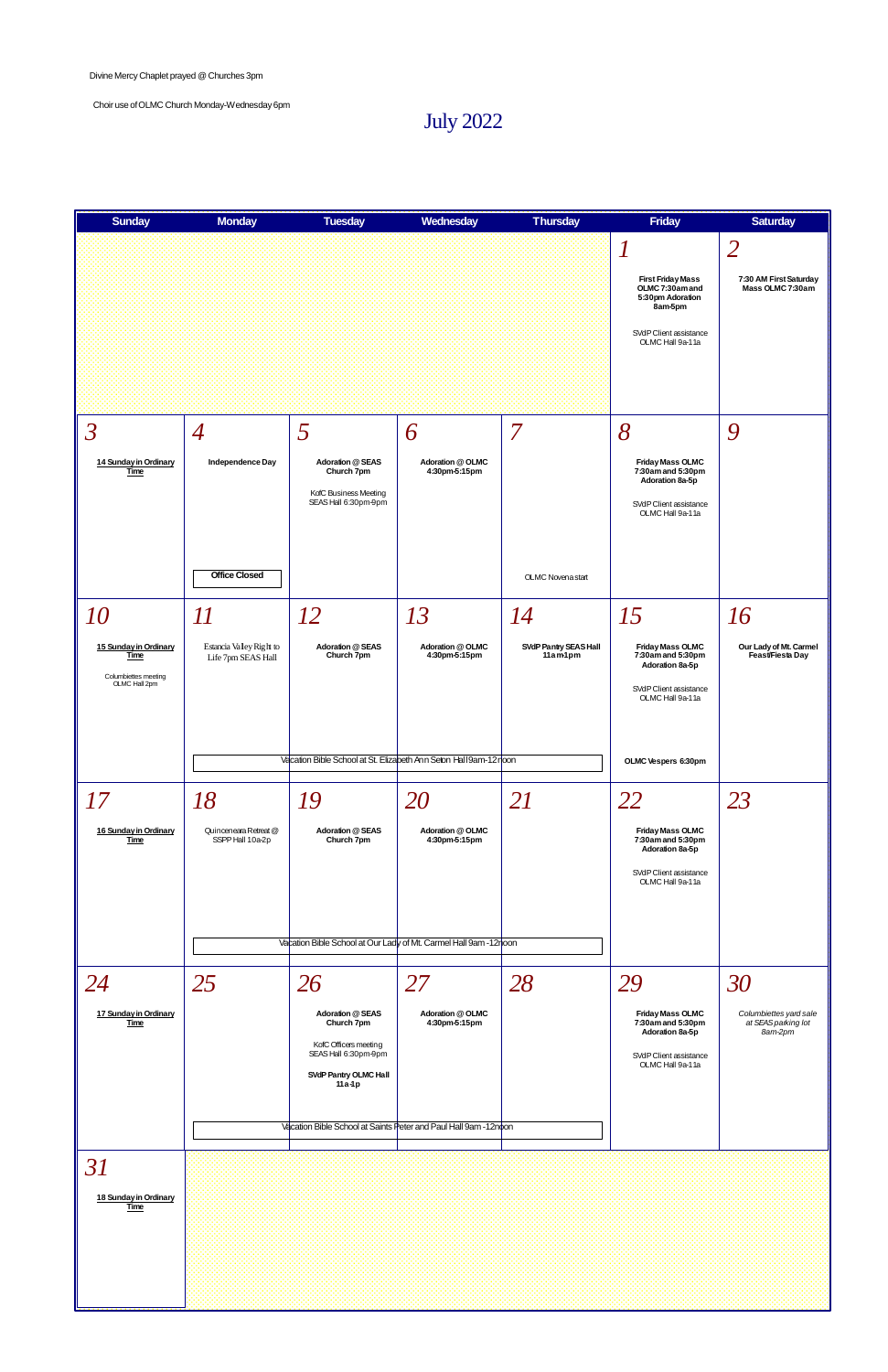July 2022



Divine Mercy Chaplet prayed @ Churches 3pm

Choir use ofOLMC Church Monday-Wednesday 6pm